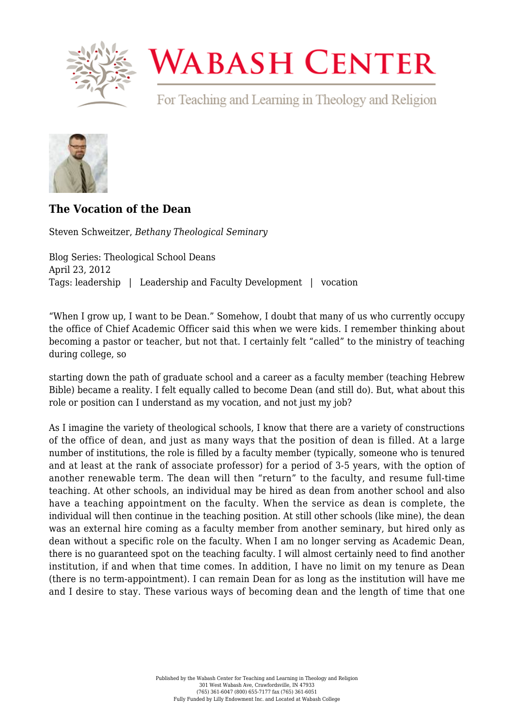

## **WABASH CENTER**

For Teaching and Learning in Theology and Religion



## **[The Vocation of the Dean](https://www.wabashcenter.wabash.edu/2012/04/the-vocation-of-the-dean/)**

Steven Schweitzer, *Bethany Theological Seminary*

Blog Series: Theological School Deans April 23, 2012 Tags: leadership | Leadership and Faculty Development | vocation

"When I grow up, I want to be Dean." Somehow, I doubt that many of us who currently occupy the office of Chief Academic Officer said this when we were kids. I remember thinking about becoming a pastor or teacher, but not that. I certainly felt "called" to the ministry of teaching during college, so

starting down the path of graduate school and a career as a faculty member (teaching Hebrew Bible) became a reality. I felt equally called to become Dean (and still do). But, what about this role or position can I understand as my vocation, and not just my job?

As I imagine the variety of theological schools, I know that there are a variety of constructions of the office of dean, and just as many ways that the position of dean is filled. At a large number of institutions, the role is filled by a faculty member (typically, someone who is tenured and at least at the rank of associate professor) for a period of 3-5 years, with the option of another renewable term. The dean will then "return" to the faculty, and resume full-time teaching. At other schools, an individual may be hired as dean from another school and also have a teaching appointment on the faculty. When the service as dean is complete, the individual will then continue in the teaching position. At still other schools (like mine), the dean was an external hire coming as a faculty member from another seminary, but hired only as dean without a specific role on the faculty. When I am no longer serving as Academic Dean, there is no guaranteed spot on the teaching faculty. I will almost certainly need to find another institution, if and when that time comes. In addition, I have no limit on my tenure as Dean (there is no term-appointment). I can remain Dean for as long as the institution will have me and I desire to stay. These various ways of becoming dean and the length of time that one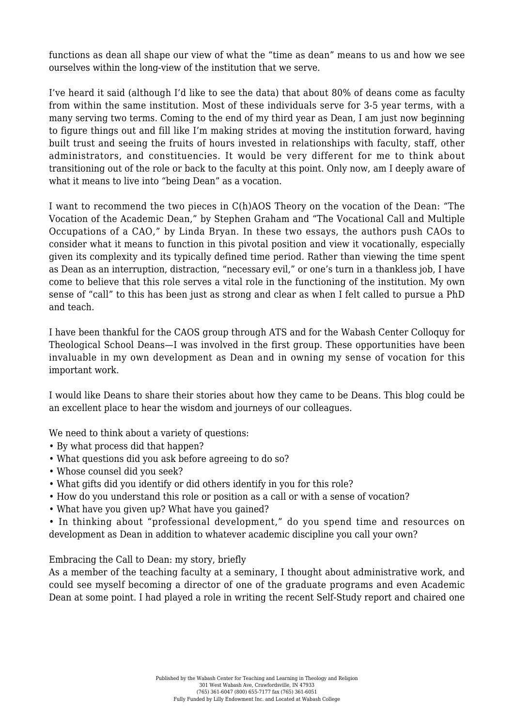functions as dean all shape our view of what the "time as dean" means to us and how we see ourselves within the long-view of the institution that we serve.

I've heard it said (although I'd like to see the data) that about 80% of deans come as faculty from within the same institution. Most of these individuals serve for 3-5 year terms, with a many serving two terms. Coming to the end of my third year as Dean, I am just now beginning to figure things out and fill like I'm making strides at moving the institution forward, having built trust and seeing the fruits of hours invested in relationships with faculty, staff, other administrators, and constituencies. It would be very different for me to think about transitioning out of the role or back to the faculty at this point. Only now, am I deeply aware of what it means to live into "being Dean" as a vocation.

I want to recommend the two pieces in C(h)AOS Theory on the vocation of the Dean: "The Vocation of the Academic Dean," by Stephen Graham and "The Vocational Call and Multiple Occupations of a CAO," by Linda Bryan. In these two essays, the authors push CAOs to consider what it means to function in this pivotal position and view it vocationally, especially given its complexity and its typically defined time period. Rather than viewing the time spent as Dean as an interruption, distraction, "necessary evil," or one's turn in a thankless job, I have come to believe that this role serves a vital role in the functioning of the institution. My own sense of "call" to this has been just as strong and clear as when I felt called to pursue a PhD and teach.

I have been thankful for the CAOS group through ATS and for the Wabash Center Colloquy for Theological School Deans—I was involved in the first group. These opportunities have been invaluable in my own development as Dean and in owning my sense of vocation for this important work.

I would like Deans to share their stories about how they came to be Deans. This blog could be an excellent place to hear the wisdom and journeys of our colleagues.

We need to think about a variety of questions:

- By what process did that happen?
- What questions did you ask before agreeing to do so?
- Whose counsel did you seek?
- What gifts did you identify or did others identify in you for this role?
- How do you understand this role or position as a call or with a sense of vocation?
- What have you given up? What have you gained?

• In thinking about "professional development," do you spend time and resources on development as Dean in addition to whatever academic discipline you call your own?

## Embracing the Call to Dean: my story, briefly

As a member of the teaching faculty at a seminary, I thought about administrative work, and could see myself becoming a director of one of the graduate programs and even Academic Dean at some point. I had played a role in writing the recent Self-Study report and chaired one